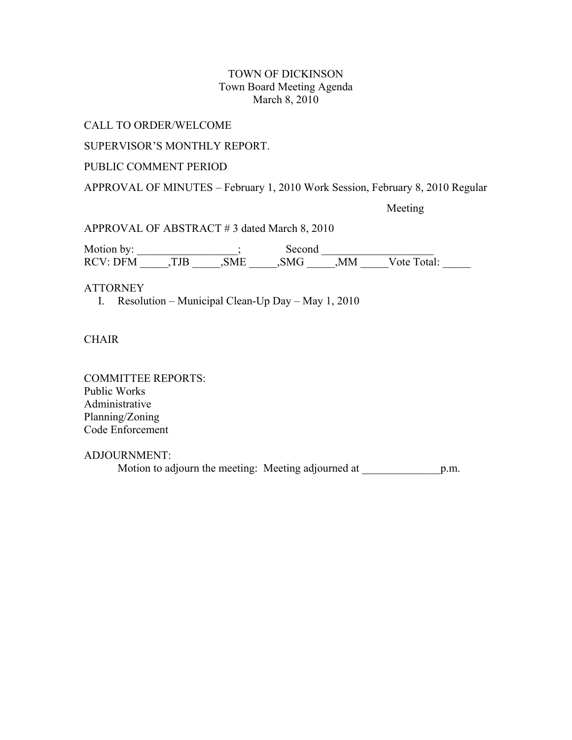## TOWN OF DICKINSON Town Board Meeting Agenda March 8, 2010

CALL TO ORDER/WELCOME

SUPERVISOR'S MONTHLY REPORT.

# PUBLIC COMMENT PERIOD

APPROVAL OF MINUTES – February 1, 2010 Work Session, February 8, 2010 Regular

Meeting

APPROVAL OF ABSTRACT # 3 dated March 8, 2010

Motion by: \_\_\_\_\_\_\_\_\_\_\_\_\_\_\_\_\_\_; Second \_\_\_\_\_\_\_\_\_\_\_\_\_\_\_\_\_\_\_\_ RCV: DFM \_\_\_\_\_,TJB \_\_\_\_\_\_,SME \_\_\_\_\_\_,SMG \_\_\_\_\_,MM \_\_\_\_\_Vote Total:

## **ATTORNEY**

I. Resolution – Municipal Clean-Up Day – May 1, 2010

**CHAIR** 

COMMITTEE REPORTS: Public Works Administrative Planning/Zoning Code Enforcement

ADJOURNMENT:

Motion to adjourn the meeting: Meeting adjourned at p.m.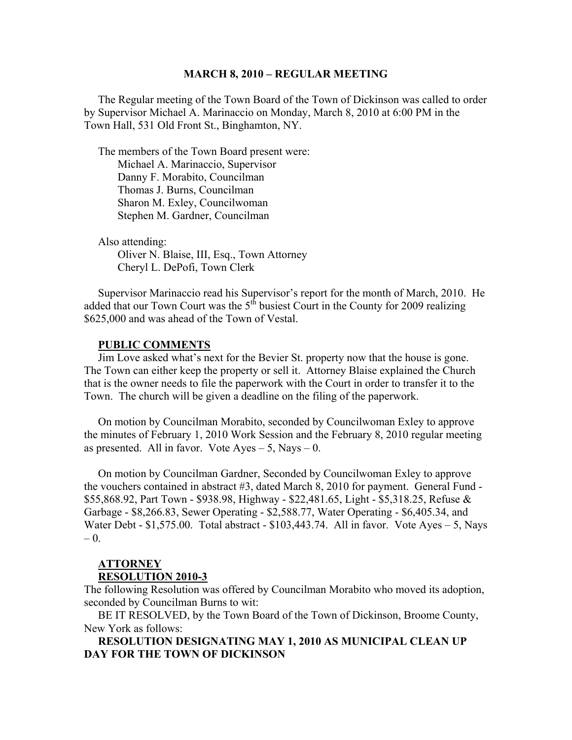#### **MARCH 8, 2010 – REGULAR MEETING**

 The Regular meeting of the Town Board of the Town of Dickinson was called to order by Supervisor Michael A. Marinaccio on Monday, March 8, 2010 at 6:00 PM in the Town Hall, 531 Old Front St., Binghamton, NY.

 The members of the Town Board present were: Michael A. Marinaccio, Supervisor Danny F. Morabito, Councilman Thomas J. Burns, Councilman Sharon M. Exley, Councilwoman Stephen M. Gardner, Councilman

 Also attending: Oliver N. Blaise, III, Esq., Town Attorney Cheryl L. DePofi, Town Clerk

 Supervisor Marinaccio read his Supervisor's report for the month of March, 2010. He added that our Town Court was the  $5<sup>th</sup>$  busiest Court in the County for 2009 realizing \$625,000 and was ahead of the Town of Vestal.

### **PUBLIC COMMENTS**

 Jim Love asked what's next for the Bevier St. property now that the house is gone. The Town can either keep the property or sell it. Attorney Blaise explained the Church that is the owner needs to file the paperwork with the Court in order to transfer it to the Town. The church will be given a deadline on the filing of the paperwork.

 On motion by Councilman Morabito, seconded by Councilwoman Exley to approve the minutes of February 1, 2010 Work Session and the February 8, 2010 regular meeting as presented. All in favor. Vote  $Ayes - 5$ , Nays  $- 0$ .

 On motion by Councilman Gardner, Seconded by Councilwoman Exley to approve the vouchers contained in abstract #3, dated March 8, 2010 for payment. General Fund - \$55,868.92, Part Town - \$938.98, Highway - \$22,481.65, Light - \$5,318.25, Refuse & Garbage - \$8,266.83, Sewer Operating - \$2,588.77, Water Operating - \$6,405.34, and Water Debt - \$1,575.00. Total abstract - \$103,443.74. All in favor. Vote Ayes – 5, Nays – 0.

### **ATTORNEY RESOLUTION 2010-3**

The following Resolution was offered by Councilman Morabito who moved its adoption, seconded by Councilman Burns to wit:

 BE IT RESOLVED, by the Town Board of the Town of Dickinson, Broome County, New York as follows:

 **RESOLUTION DESIGNATING MAY 1, 2010 AS MUNICIPAL CLEAN UP DAY FOR THE TOWN OF DICKINSON**